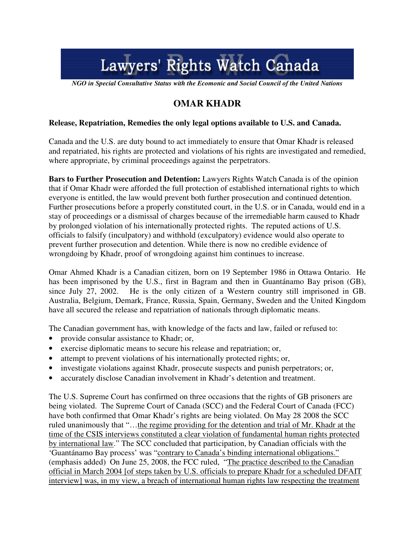# Lawyers' Rights Watch Canada

*NGO in Special Consultative Status with the Ecomonic and Social Council of the United Nations* 

# **OMAR KHADR**

## **Release, Repatriation, Remedies the only legal options available to U.S. and Canada.**

Canada and the U.S. are duty bound to act immediately to ensure that Omar Khadr is released and repatriated, his rights are protected and violations of his rights are investigated and remedied, where appropriate, by criminal proceedings against the perpetrators.

**Bars to Further Prosecution and Detention:** Lawyers Rights Watch Canada is of the opinion that if Omar Khadr were afforded the full protection of established international rights to which everyone is entitled, the law would prevent both further prosecution and continued detention. Further prosecutions before a properly constituted court, in the U.S. or in Canada, would end in a stay of proceedings or a dismissal of charges because of the irremediable harm caused to Khadr by prolonged violation of his internationally protected rights. The reputed actions of U.S. officials to falsify (inculpatory) and withhold (exculpatory) evidence would also operate to prevent further prosecution and detention. While there is now no credible evidence of wrongdoing by Khadr, proof of wrongdoing against him continues to increase.

Omar Ahmed Khadr is a Canadian citizen, born on 19 September 1986 in Ottawa Ontario. He has been imprisoned by the U.S., first in Bagram and then in Guantánamo Bay prison (GB), since July 27, 2002. He is the only citizen of a Western country still imprisoned in GB. Australia, Belgium, Demark, France, Russia, Spain, Germany, Sweden and the United Kingdom have all secured the release and repatriation of nationals through diplomatic means.

The Canadian government has, with knowledge of the facts and law, failed or refused to:

- provide consular assistance to Khadr; or,
- exercise diplomatic means to secure his release and repatriation; or,
- attempt to prevent violations of his internationally protected rights; or,
- investigate violations against Khadr, prosecute suspects and punish perpetrators; or,
- accurately disclose Canadian involvement in Khadr's detention and treatment.

The U.S. Supreme Court has confirmed on three occasions that the rights of GB prisoners are being violated. The Supreme Court of Canada (SCC) and the Federal Court of Canada (FCC) have both confirmed that Omar Khadr's rights are being violated. On May 28 2008 the SCC ruled unanimously that "…the regime providing for the detention and trial of Mr. Khadr at the time of the CSIS interviews constituted a clear violation of fundamental human rights protected by international law." The SCC concluded that participation, by Canadian officials with the 'Guantánamo Bay process' was "contrary to Canada's binding international obligations." (emphasis added) On June 25, 2008, the FCC ruled, "The practice described to the Canadian official in March 2004 [of steps taken by U.S. officials to prepare Khadr for a scheduled DFAIT interview] was, in my view, a breach of international human rights law respecting the treatment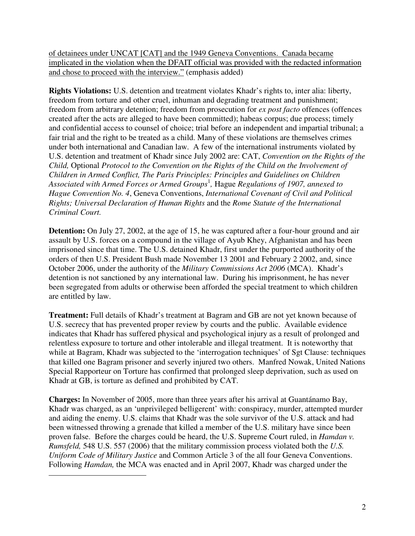of detainees under UNCAT [CAT] and the 1949 Geneva Conventions. Canada became implicated in the violation when the DFAIT official was provided with the redacted information and chose to proceed with the interview." (emphasis added)

**Rights Violations:** U.S. detention and treatment violates Khadr's rights to, inter alia: liberty, freedom from torture and other cruel, inhuman and degrading treatment and punishment; freedom from arbitrary detention; freedom from prosecution for *ex post facto* offences (offences created after the acts are alleged to have been committed); habeas corpus; due process; timely and confidential access to counsel of choice; trial before an independent and impartial tribunal; a fair trial and the right to be treated as a child. Many of these violations are themselves crimes under both international and Canadian law. A few of the international instruments violated by U.S. detention and treatment of Khadr since July 2002 are: CAT, *Convention on the Rights of the Child,* Optional *Protocol to the Convention on the Rights of the Child on the Involvement of Children in Armed Conflict, The Paris Principles: Principles and Guidelines on Children Associated with Armed Forces or Armed Groups*<sup>1</sup> *,* Hague *Regulations of 1907, annexed to Hague Convention No. 4*, Geneva Conventions, *International Covenant of Civil and Political Rights; Universal Declaration of Human Rights* and the *Rome Statute of the International Criminal Court.*

**Detention:** On July 27, 2002, at the age of 15, he was captured after a four-hour ground and air assault by U.S. forces on a compound in the village of Ayub Khey, Afghanistan and has been imprisoned since that time. The U.S. detained Khadr, first under the purported authority of the orders of then U.S. President Bush made November 13 2001 and February 2 2002, and, since October 2006, under the authority of the *Military Commissions Act 2006* (MCA). Khadr's detention is not sanctioned by any international law. During his imprisonment, he has never been segregated from adults or otherwise been afforded the special treatment to which children are entitled by law.

**Treatment:** Full details of Khadr's treatment at Bagram and GB are not yet known because of U.S. secrecy that has prevented proper review by courts and the public. Available evidence indicates that Khadr has suffered physical and psychological injury as a result of prolonged and relentless exposure to torture and other intolerable and illegal treatment. It is noteworthy that while at Bagram, Khadr was subjected to the 'interrogation techniques' of Sgt Clause: techniques that killed one Bagram prisoner and severly injured two others. Manfred Nowak, United Nations Special Rapporteur on Torture has confirmed that prolonged sleep deprivation, such as used on Khadr at GB, is torture as defined and prohibited by CAT.

**Charges:** In November of 2005, more than three years after his arrival at Guantánamo Bay, Khadr was charged, as an 'unprivileged belligerent' with: conspiracy, murder, attempted murder and aiding the enemy. U.S. claims that Khadr was the sole survivor of the U.S. attack and had been witnessed throwing a grenade that killed a member of the U.S. military have since been proven false. Before the charges could be heard, the U.S. Supreme Court ruled, in *Hamdan v. Rumsfeld,* 548 U.S. 557 (2006) that the military commission process violated both the *U.S. Uniform Code of Military Justice* and Common Article 3 of the all four Geneva Conventions. Following *Hamdan,* the MCA was enacted and in April 2007, Khadr was charged under the

 $\overline{a}$